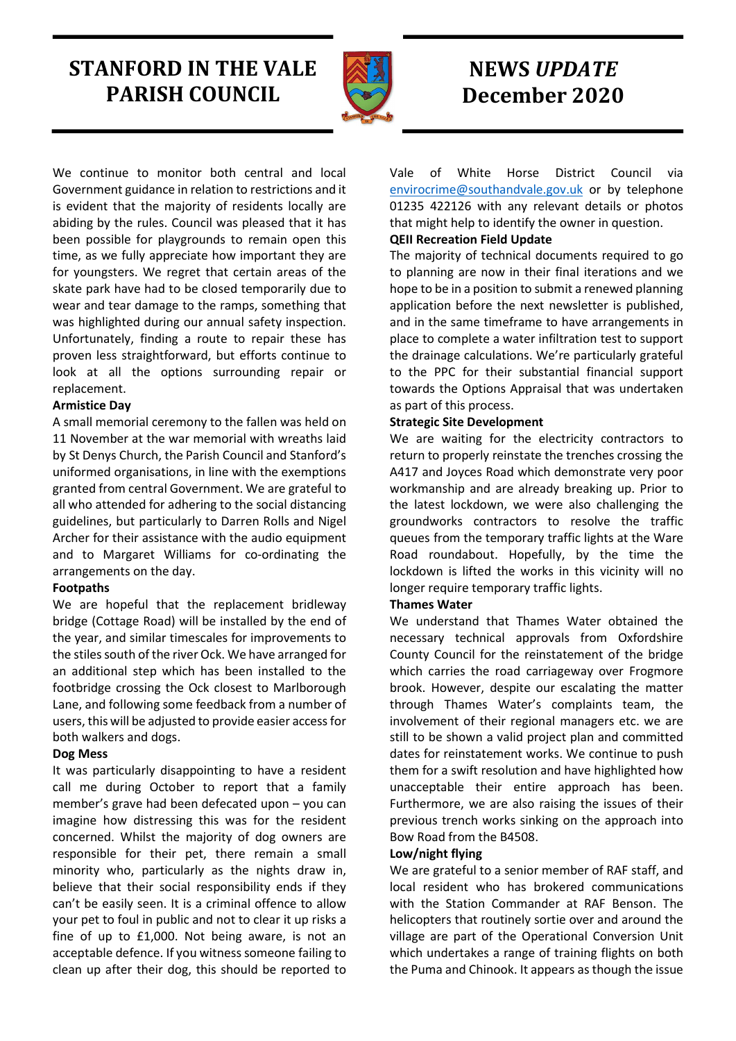# STANFORD IN THE VALE PARISH COUNCIL



# NEWS UPDATE December 2020

We continue to monitor both central and local Government guidance in relation to restrictions and it is evident that the majority of residents locally are abiding by the rules. Council was pleased that it has been possible for playgrounds to remain open this time, as we fully appreciate how important they are for youngsters. We regret that certain areas of the skate park have had to be closed temporarily due to wear and tear damage to the ramps, something that was highlighted during our annual safety inspection. Unfortunately, finding a route to repair these has proven less straightforward, but efforts continue to look at all the options surrounding repair or replacement.

## Armistice Day

A small memorial ceremony to the fallen was held on 11 November at the war memorial with wreaths laid by St Denys Church, the Parish Council and Stanford's uniformed organisations, in line with the exemptions granted from central Government. We are grateful to all who attended for adhering to the social distancing guidelines, but particularly to Darren Rolls and Nigel Archer for their assistance with the audio equipment and to Margaret Williams for co-ordinating the arrangements on the day.

# Footpaths

We are hopeful that the replacement bridleway bridge (Cottage Road) will be installed by the end of the year, and similar timescales for improvements to the stiles south of the river Ock. We have arranged for an additional step which has been installed to the footbridge crossing the Ock closest to Marlborough Lane, and following some feedback from a number of users, this will be adjusted to provide easier access for both walkers and dogs.

# Dog Mess

It was particularly disappointing to have a resident call me during October to report that a family member's grave had been defecated upon – you can imagine how distressing this was for the resident concerned. Whilst the majority of dog owners are responsible for their pet, there remain a small minority who, particularly as the nights draw in, believe that their social responsibility ends if they can't be easily seen. It is a criminal offence to allow your pet to foul in public and not to clear it up risks a fine of up to £1,000. Not being aware, is not an acceptable defence. If you witness someone failing to clean up after their dog, this should be reported to

Vale of White Horse District Council via envirocrime@southandvale.gov.uk or by telephone 01235 422126 with any relevant details or photos that might help to identify the owner in question.

# QEII Recreation Field Update

The majority of technical documents required to go to planning are now in their final iterations and we hope to be in a position to submit a renewed planning application before the next newsletter is published, and in the same timeframe to have arrangements in place to complete a water infiltration test to support the drainage calculations. We're particularly grateful to the PPC for their substantial financial support towards the Options Appraisal that was undertaken as part of this process.

## Strategic Site Development

We are waiting for the electricity contractors to return to properly reinstate the trenches crossing the A417 and Joyces Road which demonstrate very poor workmanship and are already breaking up. Prior to the latest lockdown, we were also challenging the groundworks contractors to resolve the traffic queues from the temporary traffic lights at the Ware Road roundabout. Hopefully, by the time the lockdown is lifted the works in this vicinity will no longer require temporary traffic lights.

# Thames Water

We understand that Thames Water obtained the necessary technical approvals from Oxfordshire County Council for the reinstatement of the bridge which carries the road carriageway over Frogmore brook. However, despite our escalating the matter through Thames Water's complaints team, the involvement of their regional managers etc. we are still to be shown a valid project plan and committed dates for reinstatement works. We continue to push them for a swift resolution and have highlighted how unacceptable their entire approach has been. Furthermore, we are also raising the issues of their previous trench works sinking on the approach into Bow Road from the B4508.

# Low/night flying

We are grateful to a senior member of RAF staff, and local resident who has brokered communications with the Station Commander at RAF Benson. The helicopters that routinely sortie over and around the village are part of the Operational Conversion Unit which undertakes a range of training flights on both the Puma and Chinook. It appears as though the issue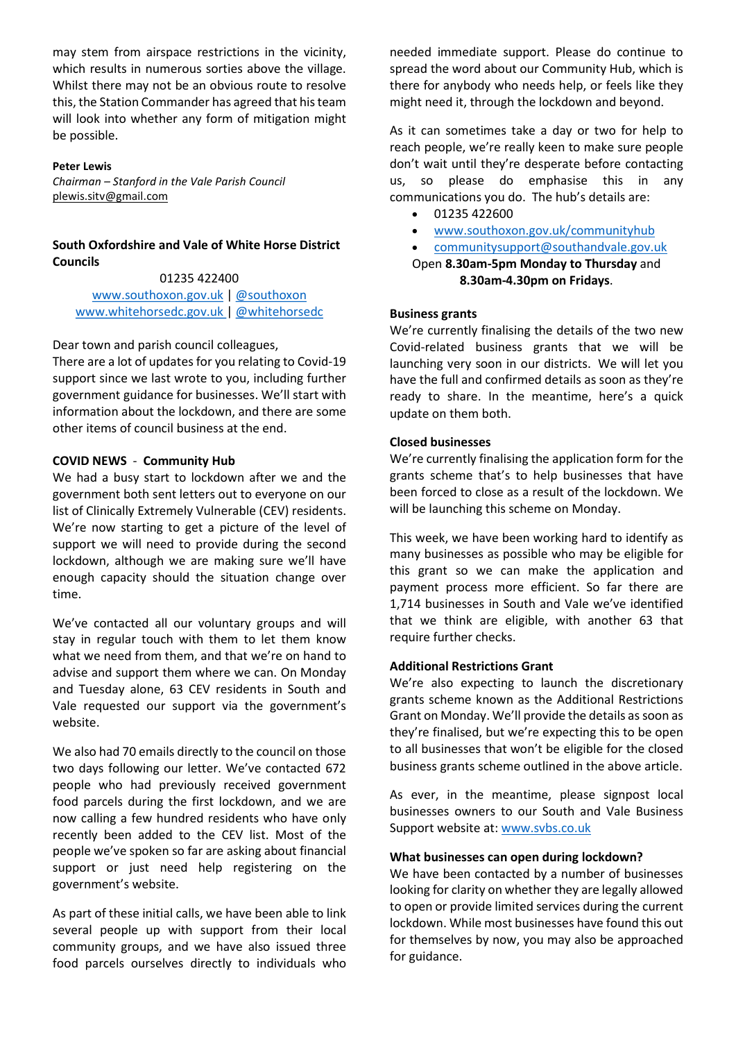may stem from airspace restrictions in the vicinity, which results in numerous sorties above the village. Whilst there may not be an obvious route to resolve this, the Station Commander has agreed that his team will look into whether any form of mitigation might be possible.

#### Peter Lewis

Chairman – Stanford in the Vale Parish Council plewis.sitv@gmail.com

### South Oxfordshire and Vale of White Horse District Councils

#### 01235 422400

www.southoxon.gov.uk | @southoxon www.whitehorsedc.gov.uk | @whitehorsedc

#### Dear town and parish council colleagues,

There are a lot of updates for you relating to Covid-19 support since we last wrote to you, including further government guidance for businesses. We'll start with information about the lockdown, and there are some other items of council business at the end.

#### COVID NEWS - Community Hub

We had a busy start to lockdown after we and the government both sent letters out to everyone on our list of Clinically Extremely Vulnerable (CEV) residents. We're now starting to get a picture of the level of support we will need to provide during the second lockdown, although we are making sure we'll have enough capacity should the situation change over time.

We've contacted all our voluntary groups and will stay in regular touch with them to let them know what we need from them, and that we're on hand to advise and support them where we can. On Monday and Tuesday alone, 63 CEV residents in South and Vale requested our support via the government's website.

We also had 70 emails directly to the council on those two days following our letter. We've contacted 672 people who had previously received government food parcels during the first lockdown, and we are now calling a few hundred residents who have only recently been added to the CEV list. Most of the people we've spoken so far are asking about financial support or just need help registering on the government's website.

As part of these initial calls, we have been able to link several people up with support from their local community groups, and we have also issued three food parcels ourselves directly to individuals who

needed immediate support. Please do continue to spread the word about our Community Hub, which is there for anybody who needs help, or feels like they might need it, through the lockdown and beyond.

As it can sometimes take a day or two for help to reach people, we're really keen to make sure people don't wait until they're desperate before contacting us, so please do emphasise this in any communications you do. The hub's details are:

- 01235 422600
- www.southoxon.gov.uk/communityhub
- communitysupport@southandvale.gov.uk

#### Open 8.30am-5pm Monday to Thursday and 8.30am-4.30pm on Fridays.

#### Business grants

We're currently finalising the details of the two new Covid-related business grants that we will be launching very soon in our districts. We will let you have the full and confirmed details as soon as they're ready to share. In the meantime, here's a quick update on them both.

### Closed businesses

We're currently finalising the application form for the grants scheme that's to help businesses that have been forced to close as a result of the lockdown. We will be launching this scheme on Monday.

This week, we have been working hard to identify as many businesses as possible who may be eligible for this grant so we can make the application and payment process more efficient. So far there are 1,714 businesses in South and Vale we've identified that we think are eligible, with another 63 that require further checks.

#### Additional Restrictions Grant

We're also expecting to launch the discretionary grants scheme known as the Additional Restrictions Grant on Monday. We'll provide the details as soon as they're finalised, but we're expecting this to be open to all businesses that won't be eligible for the closed business grants scheme outlined in the above article.

As ever, in the meantime, please signpost local businesses owners to our South and Vale Business Support website at: www.svbs.co.uk

#### What businesses can open during lockdown?

We have been contacted by a number of businesses looking for clarity on whether they are legally allowed to open or provide limited services during the current lockdown. While most businesses have found this out for themselves by now, you may also be approached for guidance.